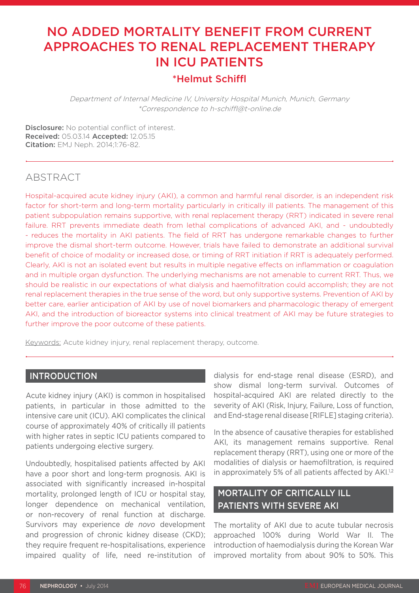# NO ADDED MORTALITY BENEFIT FROM CURRENT APPROACHES TO RENAL REPLACEMENT THERAPY IN ICU PATIENTS

## \*Helmut Schiffl

Department of Internal Medicine IV, University Hospital Munich, Munich, Germany \*Correspondence to h-schiffl@t-online.de

Disclosure: No potential conflict of interest. Received: 05.03.14 Accepted: 12.05.15 Citation: EMJ Neph. 2014;1:76-82.

## ABSTRACT

Hospital-acquired acute kidney injury (AKI), a common and harmful renal disorder, is an independent risk factor for short-term and long-term mortality particularly in critically ill patients. The management of this patient subpopulation remains supportive, with renal replacement therapy (RRT) indicated in severe renal failure. RRT prevents immediate death from lethal complications of advanced AKI, and - undoubtedly - reduces the mortality in AKI patients. The field of RRT has undergone remarkable changes to further improve the dismal short-term outcome. However, trials have failed to demonstrate an additional survival benefit of choice of modality or increased dose, or timing of RRT initiation if RRT is adequately performed. Clearly, AKI is not an isolated event but results in multiple negative effects on inflammation or coagulation and in multiple organ dysfunction. The underlying mechanisms are not amenable to current RRT. Thus, we should be realistic in our expectations of what dialysis and haemofiltration could accomplish; they are not renal replacement therapies in the true sense of the word, but only supportive systems. Prevention of AKI by better care, earlier anticipation of AKI by use of novel biomarkers and pharmacologic therapy of emergent AKI, and the introduction of bioreactor systems into clinical treatment of AKI may be future strategies to further improve the poor outcome of these patients.

Keywords: Acute kidney injury, renal replacement therapy, outcome.

### **INTRODUCTION**

Acute kidney injury (AKI) is common in hospitalised patients, in particular in those admitted to the intensive care unit (ICU). AKI complicates the clinical course of approximately 40% of critically ill patients with higher rates in septic ICU patients compared to patients undergoing elective surgery.

Undoubtedly, hospitalised patients affected by AKI have a poor short and long-term prognosis. AKI is associated with significantly increased in-hospital mortality, prolonged length of ICU or hospital stay, longer dependence on mechanical ventilation, or non-recovery of renal function at discharge. Survivors may experience *de novo* development and progression of chronic kidney disease (CKD); they require frequent re-hospitalisations, experience impaired quality of life, need re-institution of dialysis for end-stage renal disease (ESRD), and show dismal long-term survival. Outcomes of hospital-acquired AKI are related directly to the severity of AKI (Risk, Injury, Failure, Loss of function, and End-stage renal disease [RIFLE] staging criteria).

In the absence of causative therapies for established AKI, its management remains supportive. Renal replacement therapy (RRT), using one or more of the modalities of dialysis or haemofiltration, is required in approximately 5% of all patients affected by AKI.<sup>1,2</sup>

## MORTALITY OF CRITICALLY ILL PATIENTS WITH SEVERE AKI

The mortality of AKI due to acute tubular necrosis approached 100% during World War II. The introduction of haemodialysis during the Korean War improved mortality from about 90% to 50%. This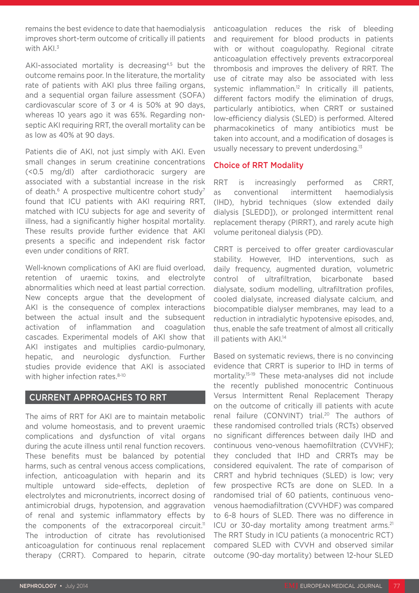remains the best evidence to date that haemodialysis improves short-term outcome of critically ill patients with AKI.<sup>3</sup>

AKI-associated mortality is decreasing<sup>4,5</sup> but the outcome remains poor. In the literature, the mortality rate of patients with AKI plus three failing organs, and a sequential organ failure assessment (SOFA) cardiovascular score of 3 or 4 is 50% at 90 days, whereas 10 years ago it was 65%. Regarding nonseptic AKI requiring RRT, the overall mortality can be as low as 40% at 90 days.

Patients die of AKI, not just simply with AKI. Even small changes in serum creatinine concentrations (<0.5 mg/dl) after cardiothoracic surgery are associated with a substantial increase in the risk of death.<sup>6</sup> A prospective multicentre cohort study<sup>7</sup> found that ICU patients with AKI requiring RRT, matched with ICU subjects for age and severity of illness, had a significantly higher hospital mortality. These results provide further evidence that AKI presents a specific and independent risk factor even under conditions of RRT.

Well-known complications of AKI are fluid overload, retention of uraemic toxins, and electrolyte abnormalities which need at least partial correction. New concepts argue that the development of AKI is the consequence of complex interactions between the actual insult and the subsequent activation of inflammation and coagulation cascades. Experimental models of AKI show that AKI instigates and multiplies cardio-pulmonary, hepatic, and neurologic dysfunction. Further studies provide evidence that AKI is associated with higher infection rates.<sup>8-10</sup>

#### CURRENT APPROACHES TO RRT

The aims of RRT for AKI are to maintain metabolic and volume homeostasis, and to prevent uraemic complications and dysfunction of vital organs during the acute illness until renal function recovers. These benefits must be balanced by potential harms, such as central venous access complications, infection, anticoagulation with heparin and its multiple untoward side-effects, depletion of electrolytes and micronutrients, incorrect dosing of antimicrobial drugs, hypotension, and aggravation of renal and systemic inflammatory effects by the components of the extracorporeal circuit.<sup>11</sup> The introduction of citrate has revolutionised anticoagulation for continuous renal replacement therapy (CRRT). Compared to heparin, citrate

anticoagulation reduces the risk of bleeding and requirement for blood products in patients with or without coagulopathy. Regional citrate anticoagulation effectively prevents extracorporeal thrombosis and improves the delivery of RRT. The use of citrate may also be associated with less systemic inflammation.<sup>12</sup> In critically ill patients, different factors modify the elimination of drugs, particularly antibiotics, when CRRT or sustained low-efficiency dialysis (SLED) is performed. Altered pharmacokinetics of many antibiotics must be taken into account, and a modification of dosages is usually necessary to prevent underdosing.<sup>13</sup>

#### Choice of RRT Modality

RRT is increasingly performed as CRRT, as conventional intermittent haemodialysis (IHD), hybrid techniques (slow extended daily dialysis [SLEDD]), or prolonged intermittent renal replacement therapy (PIRRT), and rarely acute high volume peritoneal dialysis (PD).

CRRT is perceived to offer greater cardiovascular stability. However, IHD interventions, such as daily frequency, augmented duration, volumetric control of ultrafiltration, bicarbonate based dialysate, sodium modelling, ultrafiltration profiles, cooled dialysate, increased dialysate calcium, and biocompatible dialyser membranes, may lead to a reduction in intradialytic hypotensive episodes, and, thus, enable the safe treatment of almost all critically ill patients with AKI.<sup>14</sup>

Based on systematic reviews, there is no convincing evidence that CRRT is superior to IHD in terms of mortality.15-19 These meta-analyses did not include the recently published monocentric Continuous Versus Intermittent Renal Replacement Therapy on the outcome of critically ill patients with acute renal failure (CONVINT) trial.20 The authors of these randomised controlled trials (RCTs) observed no significant differences between daily IHD and continuous veno-venous haemofiltration (CVVHF); they concluded that IHD and CRRTs may be considered equivalent. The rate of comparison of CRRT and hybrid techniques (SLED) is low; very few prospective RCTs are done on SLED. In a randomised trial of 60 patients, continuous venovenous haemodiafiltration (CVVHDF) was compared to 6-8 hours of SLED. There was no difference in ICU or 30-day mortality among treatment arms.<sup>21</sup> The RRT Study in ICU patients (a monocentric RCT) compared SLED with CVVH and observed similar outcome (90-day mortality) between 12-hour SLED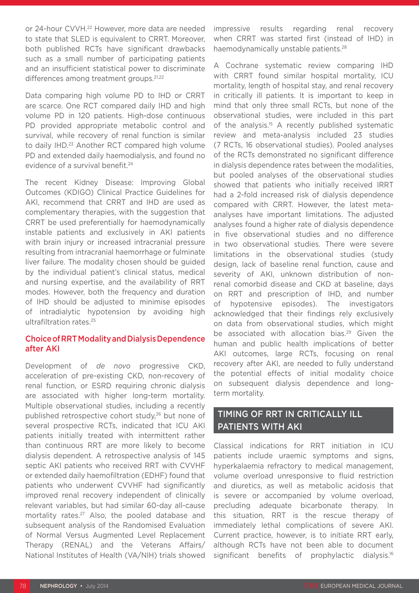or 24-hour CVVH.22 However, more data are needed to state that SLED is equivalent to CRRT. Moreover, both published RCTs have significant drawbacks such as a small number of participating patients and an insufficient statistical power to discriminate differences among treatment groups.<sup>21,22</sup>

Data comparing high volume PD to IHD or CRRT are scarce. One RCT compared daily IHD and high volume PD in 120 patients. High-dose continuous PD provided appropriate metabolic control and survival, while recovery of renal function is similar to daily IHD.<sup>23</sup> Another RCT compared high volume PD and extended daily haemodialysis, and found no evidence of a survival benefit.<sup>24</sup>

The recent Kidney Disease: Improving Global Outcomes (KDIGO) Clinical Practice Guidelines for AKI, recommend that CRRT and IHD are used as complementary therapies, with the suggestion that CRRT be used preferentially for haemodynamically instable patients and exclusively in AKI patients with brain injury or increased intracranial pressure resulting from intracranial haemorrhage or fulminate liver failure. The modality chosen should be guided by the individual patient's clinical status, medical and nursing expertise, and the availability of RRT modes. However, both the frequency and duration of IHD should be adjusted to minimise episodes of intradialytic hypotension by avoiding high ultrafiltration rates.25

### Choice of RRT Modality and Dialysis Dependence after AKI

Development of *de novo* progressive CKD, acceleration of pre-existing CKD, non-recovery of renal function, or ESRD requiring chronic dialysis are associated with higher long-term mortality. Multiple observational studies, including a recently published retrospective cohort study,26 but none of several prospective RCTs, indicated that ICU AKI patients initially treated with intermittent rather than continuous RRT are more likely to become dialysis dependent. A retrospective analysis of 145 septic AKI patients who received RRT with CVVHF or extended daily haemofiltration (EDHF) found that patients who underwent CVVHF had significantly improved renal recovery independent of clinically relevant variables, but had similar 60-day all-cause mortality rates.<sup>27</sup> Also, the pooled database and subsequent analysis of the Randomised Evaluation of Normal Versus Augmented Level Replacement Therapy (RENAL) and the Veterans Affairs/ National Institutes of Health (VA/NIH) trials showed

impressive results regarding renal recovery when CRRT was started first (instead of IHD) in haemodynamically unstable patients.<sup>28</sup>

A Cochrane systematic review comparing IHD with CRRT found similar hospital mortality, ICU mortality, length of hospital stay, and renal recovery in critically ill patients. It is important to keep in mind that only three small RCTs, but none of the observational studies, were included in this part of the analysis.<sup>15</sup> A recently published systematic review and meta-analysis included 23 studies (7 RCTs, 16 observational studies). Pooled analyses of the RCTs demonstrated no significant difference in dialysis dependence rates between the modalities, but pooled analyses of the observational studies showed that patients who initially received IRRT had a 2-fold increased risk of dialysis dependence compared with CRRT. However, the latest metaanalyses have important limitations. The adjusted analyses found a higher rate of dialysis dependence in five observational studies and no difference in two observational studies. There were severe limitations in the observational studies (study design, lack of baseline renal function, cause and severity of AKI, unknown distribution of nonrenal comorbid disease and CKD at baseline, days on RRT and prescription of IHD, and number of hypotensive episodes). The investigators acknowledged that their findings rely exclusively on data from observational studies, which might be associated with allocation bias.<sup>29</sup> Given the human and public health implications of better AKI outcomes, large RCTs, focusing on renal recovery after AKI, are needed to fully understand the potential effects of initial modality choice on subsequent dialysis dependence and longterm mortality.

### TIMING OF RRT IN CRITICALLY ILL PATIENTS WITH AKI

Classical indications for RRT initiation in ICU patients include uraemic symptoms and signs, hyperkalaemia refractory to medical management, volume overload unresponsive to fluid restriction and diuretics, as well as metabolic acidosis that is severe or accompanied by volume overload, precluding adequate bicarbonate therapy. In this situation, RRT is the rescue therapy of immediately lethal complications of severe AKI. Current practice, however, is to initiate RRT early, although RCTs have not been able to document significant benefits of prophylactic dialysis.<sup>16</sup>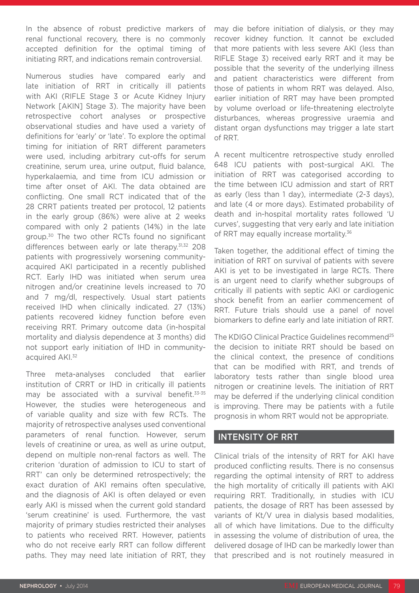In the absence of robust predictive markers of renal functional recovery, there is no commonly accepted definition for the optimal timing of initiating RRT, and indications remain controversial.

Numerous studies have compared early and late initiation of RRT in critically ill patients with AKI (RIFLE Stage 3 or Acute Kidney Injury Network [AKIN] Stage 3). The majority have been retrospective cohort analyses or prospective observational studies and have used a variety of definitions for 'early' or 'late'. To explore the optimal timing for initiation of RRT different parameters were used, including arbitrary cut-offs for serum creatinine, serum urea, urine output, fluid balance, hyperkalaemia, and time from ICU admission or time after onset of AKI. The data obtained are conflicting. One small RCT indicated that of the 28 CRRT patients treated per protocol, 12 patients in the early group (86%) were alive at 2 weeks compared with only 2 patients (14%) in the late group.30 The two other RCTs found no significant differences between early or late therapy. 31,32 208 patients with progressively worsening communityacquired AKI participated in a recently published RCT. Early IHD was initiated when serum urea nitrogen and/or creatinine levels increased to 70 and 7 mg/dl, respectively. Usual start patients received IHD when clinically indicated. 27 (13%) patients recovered kidney function before even receiving RRT. Primary outcome data (in-hospital mortality and dialysis dependence at 3 months) did not support early initiation of IHD in communityacquired AKI.<sup>32</sup>

Three meta-analyses concluded that earlier institution of CRRT or IHD in critically ill patients may be associated with a survival benefit.<sup>33-35</sup> However, the studies were heterogeneous and of variable quality and size with few RCTs. The majority of retrospective analyses used conventional parameters of renal function. However, serum levels of creatinine or urea, as well as urine output, depend on multiple non-renal factors as well. The criterion 'duration of admission to ICU to start of RRT' can only be determined retrospectively; the exact duration of AKI remains often speculative, and the diagnosis of AKI is often delayed or even early AKI is missed when the current gold standard 'serum creatinine' is used. Furthermore, the vast majority of primary studies restricted their analyses to patients who received RRT. However, patients who do not receive early RRT can follow different paths. They may need late initiation of RRT, they may die before initiation of dialysis, or they may recover kidney function. It cannot be excluded that more patients with less severe AKI (less than RIFLE Stage 3) received early RRT and it may be possible that the severity of the underlying illness and patient characteristics were different from those of patients in whom RRT was delayed. Also, earlier initiation of RRT may have been prompted by volume overload or life-threatening electrolyte disturbances, whereas progressive uraemia and distant organ dysfunctions may trigger a late start of RRT.

A recent multicentre retrospective study enrolled 648 ICU patients with post-surgical AKI. The initiation of RRT was categorised according to the time between ICU admission and start of RRT as early (less than 1 day), intermediate (2-3 days), and late (4 or more days). Estimated probability of death and in-hospital mortality rates followed 'U curves', suggesting that very early and late initiation of RRT may equally increase mortality.<sup>36</sup>

Taken together, the additional effect of timing the initiation of RRT on survival of patients with severe AKI is yet to be investigated in large RCTs. There is an urgent need to clarify whether subgroups of critically ill patients with septic AKI or cardiogenic shock benefit from an earlier commencement of RRT. Future trials should use a panel of novel biomarkers to define early and late initiation of RRT.

The KDIGO Clinical Practice Guidelines recommend<sup>25</sup> the decision to initiate RRT should be based on the clinical context, the presence of conditions that can be modified with RRT, and trends of laboratory tests rather than single blood urea nitrogen or creatinine levels. The initiation of RRT may be deferred if the underlying clinical condition is improving. There may be patients with a futile prognosis in whom RRT would not be appropriate.

#### INTENSITY OF RRT

Clinical trials of the intensity of RRT for AKI have produced conflicting results. There is no consensus regarding the optimal intensity of RRT to address the high mortality of critically ill patients with AKI requiring RRT. Traditionally, in studies with ICU patients, the dosage of RRT has been assessed by variants of Kt/V urea in dialysis based modalities, all of which have limitations. Due to the difficulty in assessing the volume of distribution of urea, the delivered dosage of IHD can be markedly lower than that prescribed and is not routinely measured in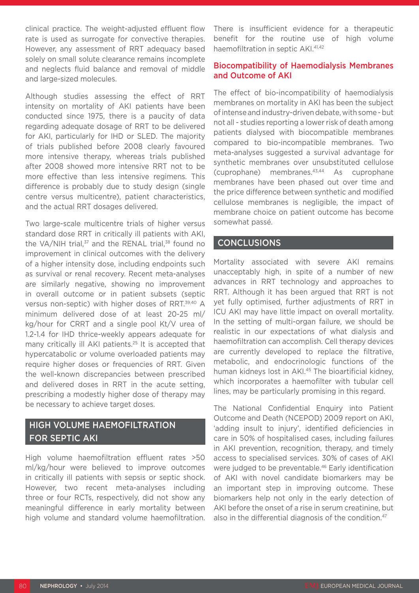clinical practice. The weight-adjusted effluent flow rate is used as surrogate for convective therapies. However, any assessment of RRT adequacy based solely on small solute clearance remains incomplete and neglects fluid balance and removal of middle and large-sized molecules.

Although studies assessing the effect of RRT intensity on mortality of AKI patients have been conducted since 1975, there is a paucity of data regarding adequate dosage of RRT to be delivered for AKI, particularly for IHD or SLED. The majority of trials published before 2008 clearly favoured more intensive therapy, whereas trials published after 2008 showed more intensive RRT not to be more effective than less intensive regimens. This difference is probably due to study design (single centre versus multicentre), patient characteristics, and the actual RRT dosages delivered.

Two large-scale multicentre trials of higher versus standard dose RRT in critically ill patients with AKI, the VA/NIH trial, $37$  and the RENAL trial, $38$  found no improvement in clinical outcomes with the delivery of a higher intensity dose, including endpoints such as survival or renal recovery. Recent meta-analyses are similarly negative, showing no improvement in overall outcome or in patient subsets (septic versus non-septic) with higher doses of RRT.39,40 A minimum delivered dose of at least 20-25 ml/ kg/hour for CRRT and a single pool Kt/V urea of 1.2-1.4 for IHD thrice-weekly appears adequate for many critically ill AKI patients.<sup>25</sup> It is accepted that hypercatabolic or volume overloaded patients may require higher doses or frequencies of RRT. Given the well-known discrepancies between prescribed and delivered doses in RRT in the acute setting, prescribing a modestly higher dose of therapy may be necessary to achieve target doses.

## HIGH VOLUME HAEMOFILTRATION FOR SEPTIC AKI

High volume haemofiltration effluent rates >50 ml/kg/hour were believed to improve outcomes in critically ill patients with sepsis or septic shock. However, two recent meta-analyses including three or four RCTs, respectively, did not show any meaningful difference in early mortality between high volume and standard volume haemofiltration. There is insufficient evidence for a therapeutic benefit for the routine use of high volume haemofiltration in septic AKI.<sup>41,42</sup>

#### Biocompatibility of Haemodialysis Membranes and Outcome of AKI

The effect of bio-incompatibility of haemodialysis membranes on mortality in AKI has been the subject of intense and industry-driven debate, with some - but not all - studies reporting a lower risk of death among patients dialysed with biocompatible membranes compared to bio-incompatible membranes. Two meta-analyses suggested a survival advantage for synthetic membranes over unsubstituted cellulose (cuprophane) membranes.43,44 As cuprophane membranes have been phased out over time and the price difference between synthetic and modified cellulose membranes is negligible, the impact of membrane choice on patient outcome has become somewhat passé.

### CONCLUSIONS

Mortality associated with severe AKI remains unacceptably high, in spite of a number of new advances in RRT technology and approaches to RRT. Although it has been argued that RRT is not yet fully optimised, further adjustments of RRT in ICU AKI may have little impact on overall mortality. In the setting of multi-organ failure, we should be realistic in our expectations of what dialysis and haemofiltration can accomplish. Cell therapy devices are currently developed to replace the filtrative, metabolic, and endocrinologic functions of the human kidneys lost in AKI.45 The bioartificial kidney, which incorporates a haemofilter with tubular cell lines, may be particularly promising in this regard.

The National Confidential Enquiry into Patient Outcome and Death (NCEPOD) 2009 report on AKI, 'adding insult to injury', identified deficiencies in care in 50% of hospitalised cases, including failures in AKI prevention, recognition, therapy, and timely access to specialised services. 30% of cases of AKI were judged to be preventable.<sup>46</sup> Early identification of AKI with novel candidate biomarkers may be an important step in improving outcome. These biomarkers help not only in the early detection of AKI before the onset of a rise in serum creatinine, but also in the differential diagnosis of the condition.<sup>47</sup>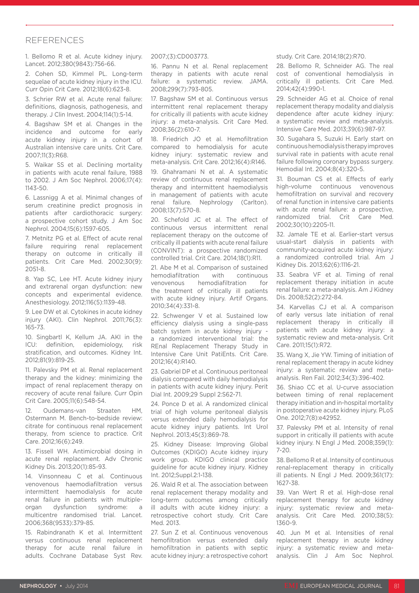#### **REFERENCES**

1. Bellomo R et al. Acute kidney injury. Lancet. 2012;380(9843):756-66.

2. Cohen SD, Kimmel PL. Long-term sequelae of acute kidney injury in the ICU. Curr Opin Crit Care. 2012;18(6):623-8.

3. Schrier RW et al. Acute renal failure: definitions, diagnosis, pathogenesis, and therapy. J Clin Invest. 2004;114(1):5-14.

4. Bagshaw SM et al. Changes in the incidence and outcome for early acute kidney injury in a cohort of Australian intensive care units. Crit Care. 2007;11(3):R68.

5. Waikar SS et al. Declining mortality in patients with acute renal failure, 1988 to 2002. J Am Soc Nephrol. 2006;17(4): 1143-50.

6. Lassnigg A et al. Minimal changes of serum creatinine predict prognosis in patients after cardiothoracic surgery: a prospective cohort study. J Am Soc Nephrol. 2004;15(6):1597-605.

7. Metnitz PG et al. Effect of acute renal failure requiring renal replacement therapy on outcome in critically ill patients. Crit Care Med. 2002;30(9): 2051-8.

8. Yap SC, Lee HT. Acute kidney injury and extrarenal organ dysfunction: new concepts and experimental evidence. Anesthesiology. 2012;116(5):1139-48.

9. Lee DW et al. Cytokines in acute kidney injury (AKI). Clin Nephrol. 2011;76(3): 165-73.

10. Singbartl K, Kellum JA. AKI in the ICU: definition, epidemiology, risk stratification, and outcomes. Kidney Int. 2012;81(9):819-25.

11. Palevsky PM et al. Renal replacement therapy and the kidney: minimizing the impact of renal replacement therapy on recovery of acute renal failure. Curr Opin Crit Care. 2005;11(6):548-54.

12. Oudemans-van Straaten HM, Ostermann M. Bench-to-bedside review: citrate for continuous renal replacement therapy, from science to practice. Crit Care. 2012;16(6):249.

13. Fissell WH. Antimicrobial dosing in acute renal replacement. Adv Chronic Kidney Dis. 2013;20(1):85-93.

14. Vinsonneau C et al. Continuous venovenous haemodiafiltration versus intermittent haemodialysis for acute renal failure in patients with multipleorgan dysfunction syndrome: a multicentre randomised trial. Lancet. 2006;368(9533):379-85.

15. Rabindranath K et al. Intermittent versus continuous renal replacement therapy for acute renal failure in adults. Cochrane Database Syst Rev.

#### 2007;(3):CD003773.

16. Pannu N et al. Renal replacement therapy in patients with acute renal failure: a systematic review. JAMA. 2008;299(7):793-805.

17. Bagshaw SM et al. Continuous versus intermittent renal replacement therapy for critically ill patients with acute kidney injury: a meta-analysis. Crit Care Med. 2008;36(2):610-7.

18. Friedrich JO et al. Hemofiltration compared to hemodialysis for acute kidney injury: systematic review and meta-analysis. Crit Care. 2012;16(4):R146.

19. Ghahramani N et al. A systematic review of continuous renal replacement therapy and intermittent haemodialysis in management of patients with acute renal failure. Nephrology (Carlton). 2008;13(7):570-8.

20. Schefold JC et al. The effect of continuous versus intermittent renal replacement therapy on the outcome of critically ill patients with acute renal failure (CONVINT): a prospective randomized controlled trial. Crit Care. 2014;18(1):R11.

21. Abe M et al. Comparison of sustained hemodiafiltration with continuous venovenous hemodiafiltration for the treatment of critically ill patients with acute kidney injury. Artif Organs. 2010;34(4):331-8.

22. Schwenger V et al. Sustained low efficiency dialysis using a single-pass batch system in acute kidney injury a randomized interventional trial: the REnal Replacement Therapy Study in Intensive Care Unit PatiEnts. Crit Care. 2012;16(4):R140.

23. Gabriel DP et al. Continuous peritoneal dialysis compared with daily hemodialysis in patients with acute kidney injury. Perit Dial Int. 2009;29 Suppl 2:S62-71.

24. Ponce D et al. A randomized clinical trial of high volume peritoneal dialysis versus extended daily hemodialysis for acute kidney injury patients. Int Urol Nephrol. 2013;45(3):869-78.

25. Kidney Disease: Improving Global Outcomes (KDIGO) Acute kidney injury work group. KDIGO clinical practice guideline for acute kidney injury. Kidney Int. 2012;Suppl.2:1-138.

26. Wald R et al. The association between renal replacement therapy modality and long-term outcomes among critically ill adults with acute kidney injury: a retrospective cohort study. Crit Care Med. 2013.

27. Sun Z et al. Continuous venovenous hemofiltration versus extended daily hemofiltration in patients with septic acute kidney injury: a retrospective cohort

#### study. Crit Care. 2014;18(2):R70.

28. Bellomo R, Schneider AG. The real cost of conventional hemodialysis in critically ill patients. Crit Care Med. 2014;42(4):990-1.

29. Schneider AG et al. Choice of renal replacement therapy modality and dialysis dependence after acute kidney injury: a systematic review and meta-analysis. Intensive Care Med. 2013;39(6):987-97.

30. Sugahara S, Suzuki H. Early start on continuous hemodialysis therapy improves survival rate in patients with acute renal failure following coronary bypass surgery. Hemodial Int. 2004;8(4):320-5.

31. Bouman CS et al. Effects of early high-volume continuous venovenous hemofiltration on survival and recovery of renal function in intensive care patients with acute renal failure: a prospective, randomized trial. Crit Care Med. 2002;30(10):2205-11.

32. Jamale TE et al. Earlier-start versus usual-start dialysis in patients with community-acquired acute kidney injury: a randomized controlled trial. Am J Kidney Dis. 2013;62(6):1116-21.

33. Seabra VF et al. Timing of renal replacement therapy initiation in acute renal failure: a meta-analysis. Am J Kidney Dis. 2008;52(2):272-84.

34. Karvellas CJ et al. A comparison of early versus late initiation of renal replacement therapy in critically ill patients with acute kidney injury: a systematic review and meta-analysis. Crit Care. 2011;15(1):R72.

35. Wang X, Jie YW. Timing of initiation of renal replacement therapy in acute kidney injury: a systematic review and metaanalysis. Ren Fail. 2012;34(3):396-402.

36. Shiao CC et al. U-curve association between timing of renal replacement therapy initiation and in-hospital mortality in postoperative acute kidney injury. PLoS One. 2012;7(8):e42952.

37. Palevsky PM et al. Intensity of renal support in critically ill patients with acute kidney injury. N Engl J Med. 2008;359(1): 7-20.

38. Bellomo R et al. Intensity of continuous renal-replacement therapy in critically ill patients. N Engl J Med. 2009;361(17): 1627-38.

39. Van Wert R et al. High-dose renal replacement therapy for acute kidney injury: systematic review and metaanalysis. Crit Care Med. 2010;38(5): 1360-9.

40. Jun M et al. Intensities of renal replacement therapy in acute kidney injury: a systematic review and metaanalysis. Clin J Am Soc Nephrol.